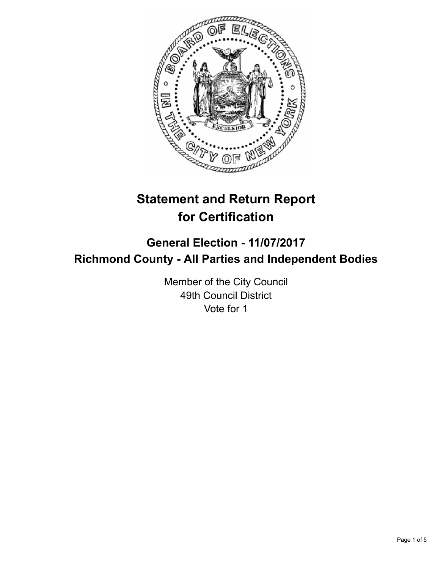

# **Statement and Return Report for Certification**

## **General Election - 11/07/2017 Richmond County - All Parties and Independent Bodies**

Member of the City Council 49th Council District Vote for 1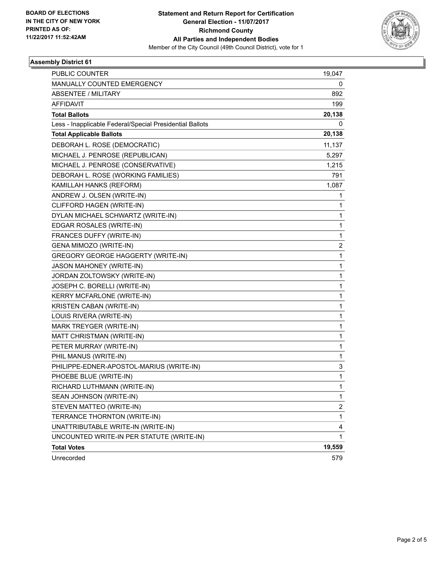

### **Assembly District 61**

| <b>PUBLIC COUNTER</b>                                    | 19,047 |
|----------------------------------------------------------|--------|
| MANUALLY COUNTED EMERGENCY                               | 0      |
| <b>ABSENTEE / MILITARY</b>                               | 892    |
| <b>AFFIDAVIT</b>                                         | 199    |
| <b>Total Ballots</b>                                     | 20,138 |
| Less - Inapplicable Federal/Special Presidential Ballots | 0      |
| <b>Total Applicable Ballots</b>                          | 20,138 |
| DEBORAH L. ROSE (DEMOCRATIC)                             | 11,137 |
| MICHAEL J. PENROSE (REPUBLICAN)                          | 5,297  |
| MICHAEL J. PENROSE (CONSERVATIVE)                        | 1,215  |
| DEBORAH L. ROSE (WORKING FAMILIES)                       | 791    |
| KAMILLAH HANKS (REFORM)                                  | 1,087  |
| ANDREW J. OLSEN (WRITE-IN)                               | 1      |
| CLIFFORD HAGEN (WRITE-IN)                                | 1      |
| DYLAN MICHAEL SCHWARTZ (WRITE-IN)                        | 1      |
| EDGAR ROSALES (WRITE-IN)                                 | 1      |
| FRANCES DUFFY (WRITE-IN)                                 | 1      |
| GENA MIMOZO (WRITE-IN)                                   | 2      |
| <b>GREGORY GEORGE HAGGERTY (WRITE-IN)</b>                | 1      |
| <b>JASON MAHONEY (WRITE-IN)</b>                          | 1      |
| JORDAN ZOLTOWSKY (WRITE-IN)                              | 1      |
| JOSEPH C. BORELLI (WRITE-IN)                             | 1      |
| KERRY MCFARLONE (WRITE-IN)                               | 1      |
| KRISTEN CABAN (WRITE-IN)                                 | 1      |
| LOUIS RIVERA (WRITE-IN)                                  | 1      |
| MARK TREYGER (WRITE-IN)                                  | 1      |
| MATT CHRISTMAN (WRITE-IN)                                | 1      |
| PETER MURRAY (WRITE-IN)                                  | 1      |
| PHIL MANUS (WRITE-IN)                                    | 1      |
| PHILIPPE-EDNER-APOSTOL-MARIUS (WRITE-IN)                 | 3      |
| PHOEBE BLUE (WRITE-IN)                                   | 1      |
| RICHARD LUTHMANN (WRITE-IN)                              | 1      |
| SEAN JOHNSON (WRITE-IN)                                  | 1      |
| STEVEN MATTEO (WRITE-IN)                                 | 2      |
| TERRANCE THORNTON (WRITE-IN)                             | 1      |
| UNATTRIBUTABLE WRITE-IN (WRITE-IN)                       | 4      |
| UNCOUNTED WRITE-IN PER STATUTE (WRITE-IN)                | 1      |
| <b>Total Votes</b>                                       | 19,559 |
| Unrecorded                                               | 579    |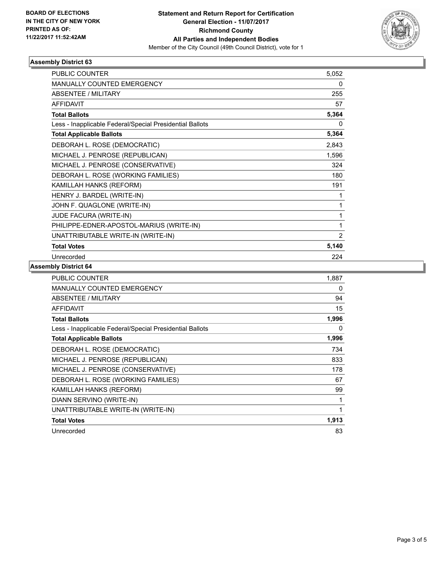

### **Assembly District 63**

| <b>PUBLIC COUNTER</b>                                    | 5,052 |
|----------------------------------------------------------|-------|
| MANUALLY COUNTED EMERGENCY                               | 0     |
| ABSENTEE / MILITARY                                      | 255   |
| <b>AFFIDAVIT</b>                                         | 57    |
| <b>Total Ballots</b>                                     | 5,364 |
| Less - Inapplicable Federal/Special Presidential Ballots | 0     |
| <b>Total Applicable Ballots</b>                          | 5,364 |
| DEBORAH L. ROSE (DEMOCRATIC)                             | 2,843 |
| MICHAEL J. PENROSE (REPUBLICAN)                          | 1,596 |
| MICHAEL J. PENROSE (CONSERVATIVE)                        | 324   |
| DEBORAH L. ROSE (WORKING FAMILIES)                       | 180   |
| KAMILLAH HANKS (REFORM)                                  | 191   |
| HENRY J. BARDEL (WRITE-IN)                               | 1     |
| JOHN F. QUAGLONE (WRITE-IN)                              | 1     |
| JUDE FACURA (WRITE-IN)                                   | 1     |
| PHILIPPE-EDNER-APOSTOL-MARIUS (WRITE-IN)                 | 1     |
| UNATTRIBUTABLE WRITE-IN (WRITE-IN)                       | 2     |
| <b>Total Votes</b>                                       | 5,140 |
| Unrecorded                                               | 224   |

### **Assembly District 64**

| <b>PUBLIC COUNTER</b>                                    | 1,887 |
|----------------------------------------------------------|-------|
| <b>MANUALLY COUNTED EMERGENCY</b>                        | 0     |
| <b>ABSENTEE / MILITARY</b>                               | 94    |
| <b>AFFIDAVIT</b>                                         | 15    |
| <b>Total Ballots</b>                                     | 1,996 |
| Less - Inapplicable Federal/Special Presidential Ballots | 0     |
| <b>Total Applicable Ballots</b>                          | 1,996 |
| DEBORAH L. ROSE (DEMOCRATIC)                             | 734   |
| MICHAEL J. PENROSE (REPUBLICAN)                          | 833   |
| MICHAEL J. PENROSE (CONSERVATIVE)                        | 178   |
| DEBORAH L. ROSE (WORKING FAMILIES)                       | 67    |
| KAMILLAH HANKS (REFORM)                                  | 99    |
| DIANN SERVINO (WRITE-IN)                                 | 1     |
| UNATTRIBUTABLE WRITE-IN (WRITE-IN)                       |       |
| <b>Total Votes</b>                                       | 1,913 |
| Unrecorded                                               | 83    |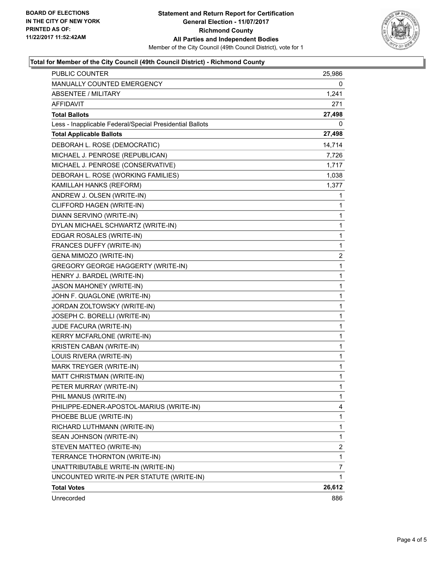

### **Total for Member of the City Council (49th Council District) - Richmond County**

| PUBLIC COUNTER                                           | 25,986 |
|----------------------------------------------------------|--------|
| <b>MANUALLY COUNTED EMERGENCY</b>                        | 0      |
| <b>ABSENTEE / MILITARY</b>                               | 1,241  |
| AFFIDAVIT                                                | 271    |
| <b>Total Ballots</b>                                     | 27,498 |
| Less - Inapplicable Federal/Special Presidential Ballots | 0      |
| <b>Total Applicable Ballots</b>                          | 27,498 |
| DEBORAH L. ROSE (DEMOCRATIC)                             | 14,714 |
| MICHAEL J. PENROSE (REPUBLICAN)                          | 7,726  |
| MICHAEL J. PENROSE (CONSERVATIVE)                        | 1,717  |
| DEBORAH L. ROSE (WORKING FAMILIES)                       | 1,038  |
| KAMILLAH HANKS (REFORM)                                  | 1,377  |
| ANDREW J. OLSEN (WRITE-IN)                               | 1      |
| CLIFFORD HAGEN (WRITE-IN)                                | 1      |
| DIANN SERVINO (WRITE-IN)                                 | 1      |
| DYLAN MICHAEL SCHWARTZ (WRITE-IN)                        | 1      |
| EDGAR ROSALES (WRITE-IN)                                 | 1      |
| FRANCES DUFFY (WRITE-IN)                                 | 1      |
| GENA MIMOZO (WRITE-IN)                                   | 2      |
| <b>GREGORY GEORGE HAGGERTY (WRITE-IN)</b>                | 1      |
| HENRY J. BARDEL (WRITE-IN)                               | 1      |
| JASON MAHONEY (WRITE-IN)                                 | 1      |
| JOHN F. QUAGLONE (WRITE-IN)                              | 1      |
| JORDAN ZOLTOWSKY (WRITE-IN)                              | 1      |
| JOSEPH C. BORELLI (WRITE-IN)                             | 1      |
| JUDE FACURA (WRITE-IN)                                   | 1      |
| KERRY MCFARLONE (WRITE-IN)                               | 1      |
| KRISTEN CABAN (WRITE-IN)                                 | 1      |
| LOUIS RIVERA (WRITE-IN)                                  | 1      |
| MARK TREYGER (WRITE-IN)                                  | 1      |
| MATT CHRISTMAN (WRITE-IN)                                | 1      |
| PETER MURRAY (WRITE-IN)                                  | 1      |
| PHIL MANUS (WRITE-IN)                                    | 1      |
| PHILIPPE-EDNER-APOSTOL-MARIUS (WRITE-IN)                 | 4      |
| PHOEBE BLUE (WRITE-IN)                                   | 1      |
| RICHARD LUTHMANN (WRITE-IN)                              | 1      |
| SEAN JOHNSON (WRITE-IN)                                  | 1      |
| STEVEN MATTEO (WRITE-IN)                                 | 2      |
| TERRANCE THORNTON (WRITE-IN)                             | 1      |
| UNATTRIBUTABLE WRITE-IN (WRITE-IN)                       | 7      |
| UNCOUNTED WRITE-IN PER STATUTE (WRITE-IN)                | 1      |
| <b>Total Votes</b>                                       | 26,612 |
| Unrecorded                                               | 886    |